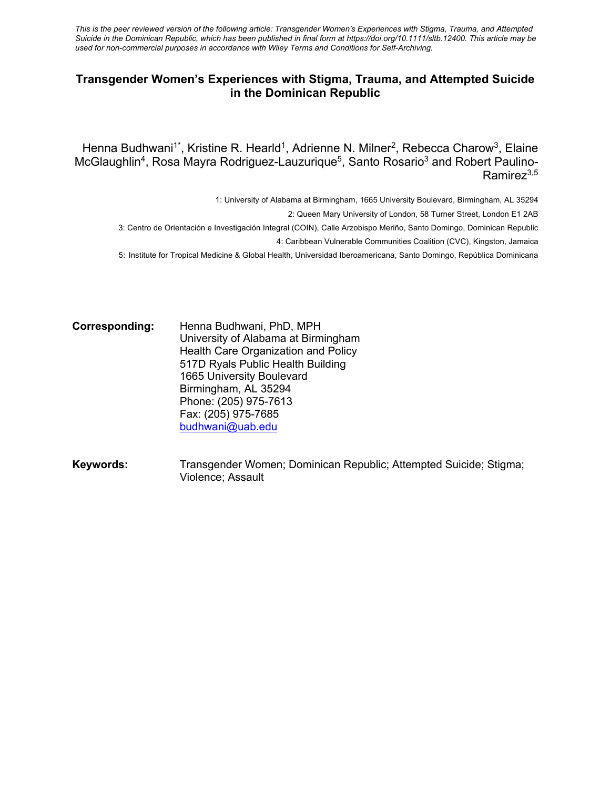*This is the peer reviewed version of the following article: Transgender Women's Experiences with Stigma, Trauma, and Attempted Suicide in the Dominican Republic, which has been published in final form at https://doi.org/10.1111/sltb.12400. This article may be used for non-commercial purposes in accordance with Wiley Terms and Conditions for Self-Archiving.*

## **Transgender Women's Experiences with Stigma, Trauma, and Attempted Suicide in the Dominican Republic**

Henna Budhwani<sup>1\*</sup>, Kristine R. Hearld<sup>1</sup>, Adrienne N. Milner<sup>2</sup>, Rebecca Charow<sup>3</sup>, Elaine McGlaughlin<sup>4</sup>, Rosa Mayra Rodriguez-Lauzurique<sup>5</sup>, Santo Rosario<sup>3</sup> and Robert Paulino-Ramirez<sup>3,5</sup>

1: University of Alabama at Birmingham, 1665 University Boulevard, Birmingham, AL 35294

2: Queen Mary University of London, 58 Turner Street, London E1 2AB

3: Centro de Orientación e Investigación Integral (COIN), Calle Arzobispo Meriño, Santo Domingo, Dominican Republic

4: Caribbean Vulnerable Communities Coalition (CVC), Kingston, Jamaica

5: Institute for Tropical Medicine & Global Health, Universidad Iberoamericana, Santo Domingo, República Dominicana

**Corresponding:** Henna Budhwani, PhD, MPH University of Alabama at Birmingham Health Care Organization and Policy 517D Ryals Public Health Building 1665 University Boulevard Birmingham, AL 35294 Phone: (205) 975-7613 Fax: (205) 975-7685 budhwani@uab.edu

Keywords: Transgender Women; Dominican Republic; Attempted Suicide; Stigma; Violence; Assault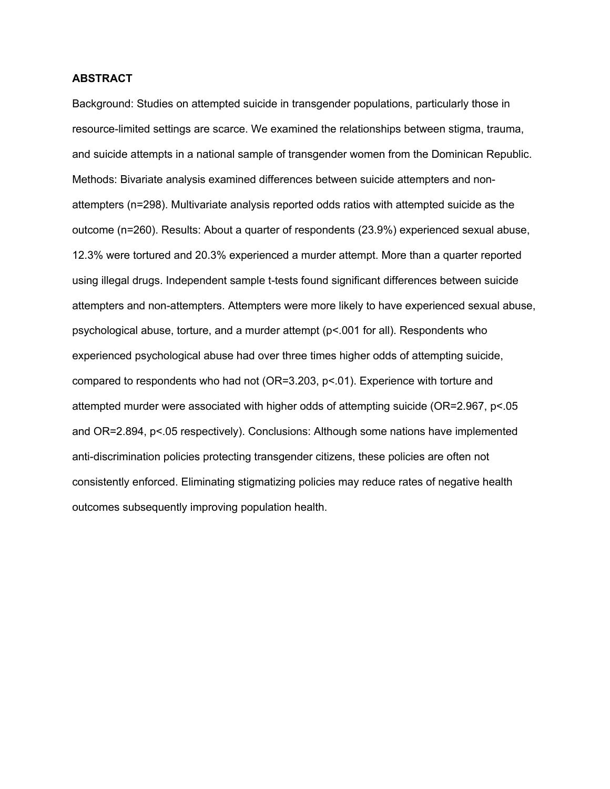### **ABSTRACT**

Background: Studies on attempted suicide in transgender populations, particularly those in resource-limited settings are scarce. We examined the relationships between stigma, trauma, and suicide attempts in a national sample of transgender women from the Dominican Republic. Methods: Bivariate analysis examined differences between suicide attempters and nonattempters (n=298). Multivariate analysis reported odds ratios with attempted suicide as the outcome (n=260). Results: About a quarter of respondents (23.9%) experienced sexual abuse, 12.3% were tortured and 20.3% experienced a murder attempt. More than a quarter reported using illegal drugs. Independent sample t-tests found significant differences between suicide attempters and non-attempters. Attempters were more likely to have experienced sexual abuse, psychological abuse, torture, and a murder attempt (p<.001 for all). Respondents who experienced psychological abuse had over three times higher odds of attempting suicide, compared to respondents who had not (OR=3.203, p<.01). Experience with torture and attempted murder were associated with higher odds of attempting suicide (OR=2.967, p<.05 and OR=2.894, p<.05 respectively). Conclusions: Although some nations have implemented anti-discrimination policies protecting transgender citizens, these policies are often not consistently enforced. Eliminating stigmatizing policies may reduce rates of negative health outcomes subsequently improving population health.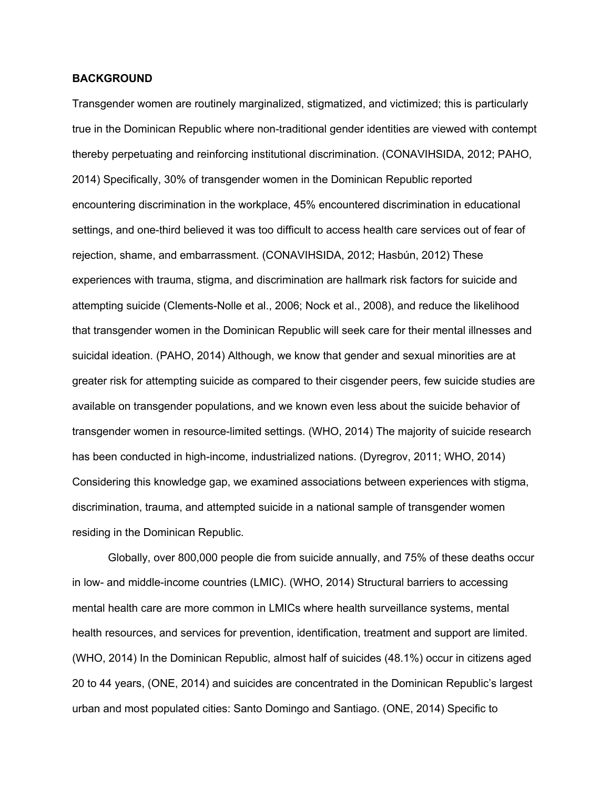### **BACKGROUND**

Transgender women are routinely marginalized, stigmatized, and victimized; this is particularly true in the Dominican Republic where non-traditional gender identities are viewed with contempt thereby perpetuating and reinforcing institutional discrimination. (CONAVIHSIDA, 2012; PAHO, 2014) Specifically, 30% of transgender women in the Dominican Republic reported encountering discrimination in the workplace, 45% encountered discrimination in educational settings, and one-third believed it was too difficult to access health care services out of fear of rejection, shame, and embarrassment. (CONAVIHSIDA, 2012; Hasbún, 2012) These experiences with trauma, stigma, and discrimination are hallmark risk factors for suicide and attempting suicide (Clements-Nolle et al., 2006; Nock et al., 2008), and reduce the likelihood that transgender women in the Dominican Republic will seek care for their mental illnesses and suicidal ideation. (PAHO, 2014) Although, we know that gender and sexual minorities are at greater risk for attempting suicide as compared to their cisgender peers, few suicide studies are available on transgender populations, and we known even less about the suicide behavior of transgender women in resource-limited settings. (WHO, 2014) The majority of suicide research has been conducted in high-income, industrialized nations. (Dyregrov, 2011; WHO, 2014) Considering this knowledge gap, we examined associations between experiences with stigma, discrimination, trauma, and attempted suicide in a national sample of transgender women residing in the Dominican Republic.

Globally, over 800,000 people die from suicide annually, and 75% of these deaths occur in low- and middle-income countries (LMIC). (WHO, 2014) Structural barriers to accessing mental health care are more common in LMICs where health surveillance systems, mental health resources, and services for prevention, identification, treatment and support are limited. (WHO, 2014) In the Dominican Republic, almost half of suicides (48.1%) occur in citizens aged 20 to 44 years, (ONE, 2014) and suicides are concentrated in the Dominican Republic's largest urban and most populated cities: Santo Domingo and Santiago. (ONE, 2014) Specific to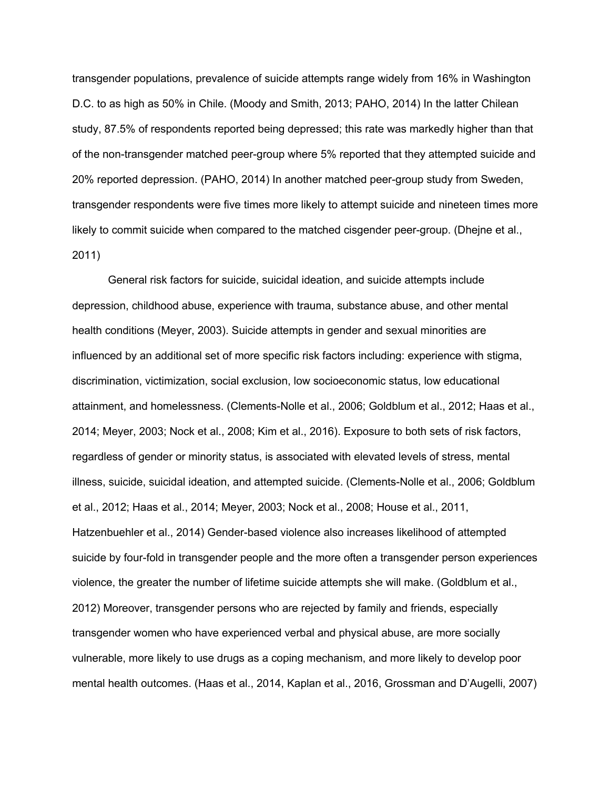transgender populations, prevalence of suicide attempts range widely from 16% in Washington D.C. to as high as 50% in Chile. (Moody and Smith, 2013; PAHO, 2014) In the latter Chilean study, 87.5% of respondents reported being depressed; this rate was markedly higher than that of the non-transgender matched peer-group where 5% reported that they attempted suicide and 20% reported depression. (PAHO, 2014) In another matched peer-group study from Sweden, transgender respondents were five times more likely to attempt suicide and nineteen times more likely to commit suicide when compared to the matched cisgender peer-group. (Dhejne et al., 2011)

General risk factors for suicide, suicidal ideation, and suicide attempts include depression, childhood abuse, experience with trauma, substance abuse, and other mental health conditions (Meyer, 2003). Suicide attempts in gender and sexual minorities are influenced by an additional set of more specific risk factors including: experience with stigma, discrimination, victimization, social exclusion, low socioeconomic status, low educational attainment, and homelessness. (Clements-Nolle et al., 2006; Goldblum et al., 2012; Haas et al., 2014; Meyer, 2003; Nock et al., 2008; Kim et al., 2016). Exposure to both sets of risk factors, regardless of gender or minority status, is associated with elevated levels of stress, mental illness, suicide, suicidal ideation, and attempted suicide. (Clements-Nolle et al., 2006; Goldblum et al., 2012; Haas et al., 2014; Meyer, 2003; Nock et al., 2008; House et al., 2011, Hatzenbuehler et al., 2014) Gender-based violence also increases likelihood of attempted suicide by four-fold in transgender people and the more often a transgender person experiences violence, the greater the number of lifetime suicide attempts she will make. (Goldblum et al., 2012) Moreover, transgender persons who are rejected by family and friends, especially transgender women who have experienced verbal and physical abuse, are more socially vulnerable, more likely to use drugs as a coping mechanism, and more likely to develop poor mental health outcomes. (Haas et al., 2014, Kaplan et al., 2016, Grossman and D'Augelli, 2007)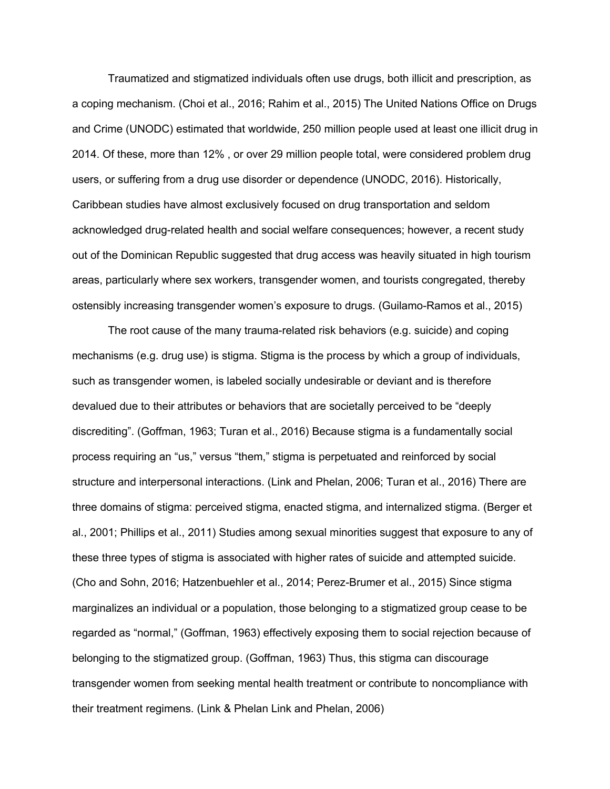Traumatized and stigmatized individuals often use drugs, both illicit and prescription, as a coping mechanism. (Choi et al., 2016; Rahim et al., 2015) The United Nations Office on Drugs and Crime (UNODC) estimated that worldwide, 250 million people used at least one illicit drug in 2014. Of these, more than 12% , or over 29 million people total, were considered problem drug users, or suffering from a drug use disorder or dependence (UNODC, 2016). Historically, Caribbean studies have almost exclusively focused on drug transportation and seldom acknowledged drug-related health and social welfare consequences; however, a recent study out of the Dominican Republic suggested that drug access was heavily situated in high tourism areas, particularly where sex workers, transgender women, and tourists congregated, thereby ostensibly increasing transgender women's exposure to drugs. (Guilamo-Ramos et al., 2015)

The root cause of the many trauma-related risk behaviors (e.g. suicide) and coping mechanisms (e.g. drug use) is stigma. Stigma is the process by which a group of individuals, such as transgender women, is labeled socially undesirable or deviant and is therefore devalued due to their attributes or behaviors that are societally perceived to be "deeply discrediting". (Goffman, 1963; Turan et al., 2016) Because stigma is a fundamentally social process requiring an "us," versus "them," stigma is perpetuated and reinforced by social structure and interpersonal interactions. (Link and Phelan, 2006; Turan et al., 2016) There are three domains of stigma: perceived stigma, enacted stigma, and internalized stigma. (Berger et al., 2001; Phillips et al., 2011) Studies among sexual minorities suggest that exposure to any of these three types of stigma is associated with higher rates of suicide and attempted suicide. (Cho and Sohn, 2016; Hatzenbuehler et al., 2014; Perez-Brumer et al., 2015) Since stigma marginalizes an individual or a population, those belonging to a stigmatized group cease to be regarded as "normal," (Goffman, 1963) effectively exposing them to social rejection because of belonging to the stigmatized group. (Goffman, 1963) Thus, this stigma can discourage transgender women from seeking mental health treatment or contribute to noncompliance with their treatment regimens. (Link & Phelan Link and Phelan, 2006)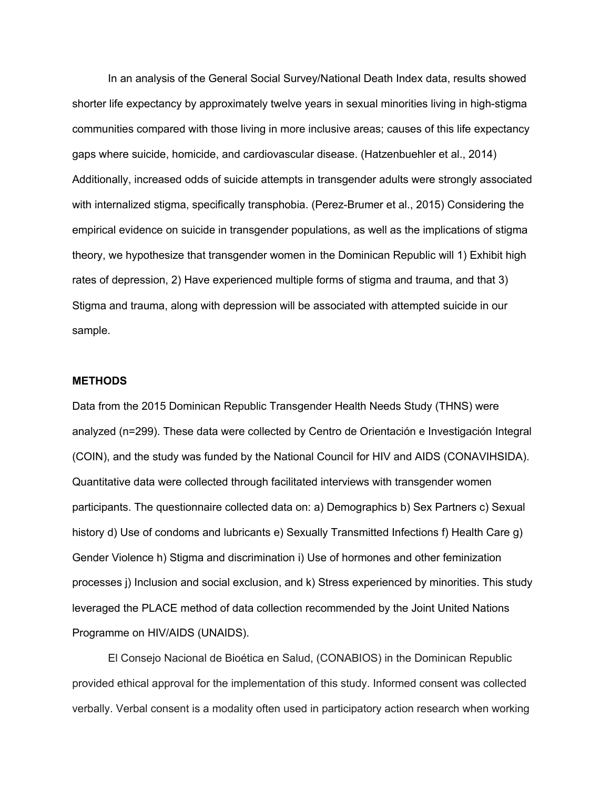In an analysis of the General Social Survey/National Death Index data, results showed shorter life expectancy by approximately twelve years in sexual minorities living in high-stigma communities compared with those living in more inclusive areas; causes of this life expectancy gaps where suicide, homicide, and cardiovascular disease. (Hatzenbuehler et al., 2014) Additionally, increased odds of suicide attempts in transgender adults were strongly associated with internalized stigma, specifically transphobia. (Perez-Brumer et al., 2015) Considering the empirical evidence on suicide in transgender populations, as well as the implications of stigma theory, we hypothesize that transgender women in the Dominican Republic will 1) Exhibit high rates of depression, 2) Have experienced multiple forms of stigma and trauma, and that 3) Stigma and trauma, along with depression will be associated with attempted suicide in our sample.

### **METHODS**

Data from the 2015 Dominican Republic Transgender Health Needs Study (THNS) were analyzed (n=299). These data were collected by Centro de Orientación e Investigación Integral (COIN), and the study was funded by the National Council for HIV and AIDS (CONAVIHSIDA). Quantitative data were collected through facilitated interviews with transgender women participants. The questionnaire collected data on: a) Demographics b) Sex Partners c) Sexual history d) Use of condoms and lubricants e) Sexually Transmitted Infections f) Health Care g) Gender Violence h) Stigma and discrimination i) Use of hormones and other feminization processes j) Inclusion and social exclusion, and k) Stress experienced by minorities. This study leveraged the PLACE method of data collection recommended by the Joint United Nations Programme on HIV/AIDS (UNAIDS).

El Consejo Nacional de Bioética en Salud, (CONABIOS) in the Dominican Republic provided ethical approval for the implementation of this study. Informed consent was collected verbally. Verbal consent is a modality often used in participatory action research when working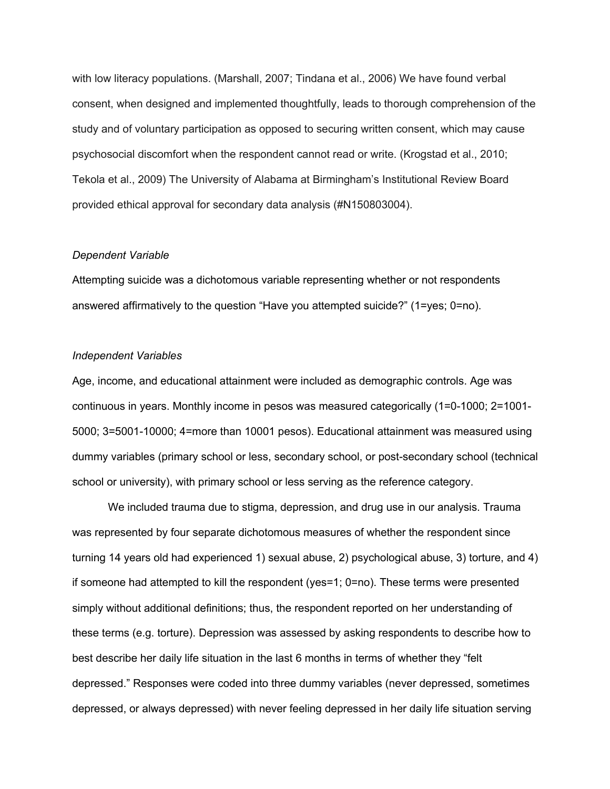with low literacy populations. (Marshall, 2007; Tindana et al., 2006) We have found verbal consent, when designed and implemented thoughtfully, leads to thorough comprehension of the study and of voluntary participation as opposed to securing written consent, which may cause psychosocial discomfort when the respondent cannot read or write. (Krogstad et al., 2010; Tekola et al., 2009) The University of Alabama at Birmingham's Institutional Review Board provided ethical approval for secondary data analysis (#N150803004).

#### *Dependent Variable*

Attempting suicide was a dichotomous variable representing whether or not respondents answered affirmatively to the question "Have you attempted suicide?" (1=yes; 0=no).

### *Independent Variables*

Age, income, and educational attainment were included as demographic controls. Age was continuous in years. Monthly income in pesos was measured categorically (1=0-1000; 2=1001- 5000; 3=5001-10000; 4=more than 10001 pesos). Educational attainment was measured using dummy variables (primary school or less, secondary school, or post-secondary school (technical school or university), with primary school or less serving as the reference category.

We included trauma due to stigma, depression, and drug use in our analysis. Trauma was represented by four separate dichotomous measures of whether the respondent since turning 14 years old had experienced 1) sexual abuse, 2) psychological abuse, 3) torture, and 4) if someone had attempted to kill the respondent (yes=1; 0=no). These terms were presented simply without additional definitions; thus, the respondent reported on her understanding of these terms (e.g. torture). Depression was assessed by asking respondents to describe how to best describe her daily life situation in the last 6 months in terms of whether they "felt depressed." Responses were coded into three dummy variables (never depressed, sometimes depressed, or always depressed) with never feeling depressed in her daily life situation serving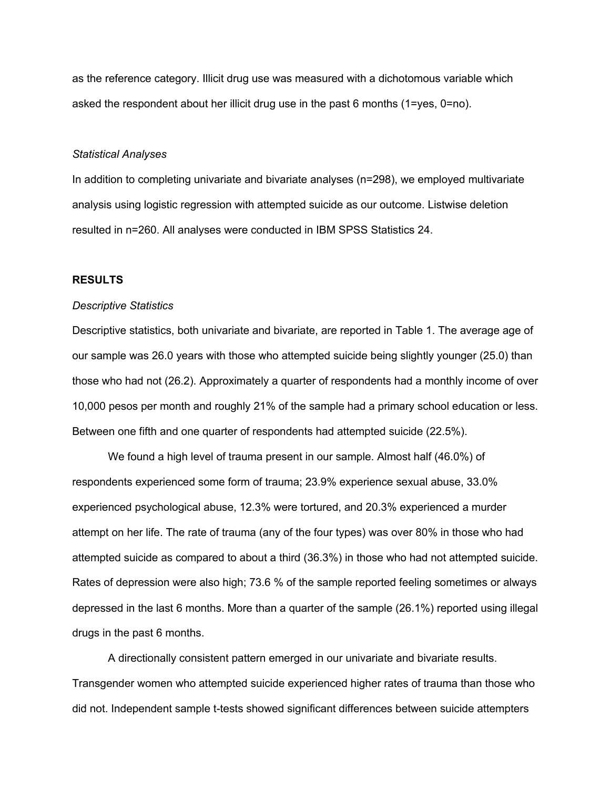as the reference category. Illicit drug use was measured with a dichotomous variable which asked the respondent about her illicit drug use in the past 6 months (1=yes, 0=no).

#### *Statistical Analyses*

In addition to completing univariate and bivariate analyses (n=298), we employed multivariate analysis using logistic regression with attempted suicide as our outcome. Listwise deletion resulted in n=260. All analyses were conducted in IBM SPSS Statistics 24.

### **RESULTS**

#### *Descriptive Statistics*

Descriptive statistics, both univariate and bivariate, are reported in Table 1. The average age of our sample was 26.0 years with those who attempted suicide being slightly younger (25.0) than those who had not (26.2). Approximately a quarter of respondents had a monthly income of over 10,000 pesos per month and roughly 21% of the sample had a primary school education or less. Between one fifth and one quarter of respondents had attempted suicide (22.5%).

We found a high level of trauma present in our sample. Almost half (46.0%) of respondents experienced some form of trauma; 23.9% experience sexual abuse, 33.0% experienced psychological abuse, 12.3% were tortured, and 20.3% experienced a murder attempt on her life. The rate of trauma (any of the four types) was over 80% in those who had attempted suicide as compared to about a third (36.3%) in those who had not attempted suicide. Rates of depression were also high; 73.6 % of the sample reported feeling sometimes or always depressed in the last 6 months. More than a quarter of the sample (26.1%) reported using illegal drugs in the past 6 months.

A directionally consistent pattern emerged in our univariate and bivariate results. Transgender women who attempted suicide experienced higher rates of trauma than those who did not. Independent sample t-tests showed significant differences between suicide attempters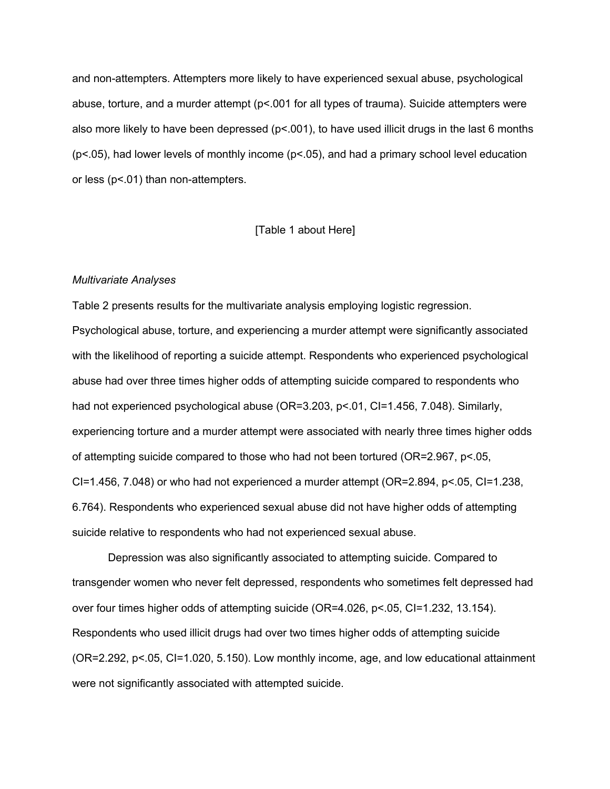and non-attempters. Attempters more likely to have experienced sexual abuse, psychological abuse, torture, and a murder attempt (p<.001 for all types of trauma). Suicide attempters were also more likely to have been depressed (p<.001), to have used illicit drugs in the last 6 months (p<.05), had lower levels of monthly income (p<.05), and had a primary school level education or less (p<.01) than non-attempters.

### [Table 1 about Here]

### *Multivariate Analyses*

Table 2 presents results for the multivariate analysis employing logistic regression. Psychological abuse, torture, and experiencing a murder attempt were significantly associated with the likelihood of reporting a suicide attempt. Respondents who experienced psychological abuse had over three times higher odds of attempting suicide compared to respondents who had not experienced psychological abuse (OR=3.203, p<.01, CI=1.456, 7.048). Similarly, experiencing torture and a murder attempt were associated with nearly three times higher odds of attempting suicide compared to those who had not been tortured (OR=2.967, p<.05, CI=1.456, 7.048) or who had not experienced a murder attempt (OR=2.894, p<.05, CI=1.238, 6.764). Respondents who experienced sexual abuse did not have higher odds of attempting suicide relative to respondents who had not experienced sexual abuse.

Depression was also significantly associated to attempting suicide. Compared to transgender women who never felt depressed, respondents who sometimes felt depressed had over four times higher odds of attempting suicide (OR=4.026, p<.05, CI=1.232, 13.154). Respondents who used illicit drugs had over two times higher odds of attempting suicide (OR=2.292, p<.05, CI=1.020, 5.150). Low monthly income, age, and low educational attainment were not significantly associated with attempted suicide.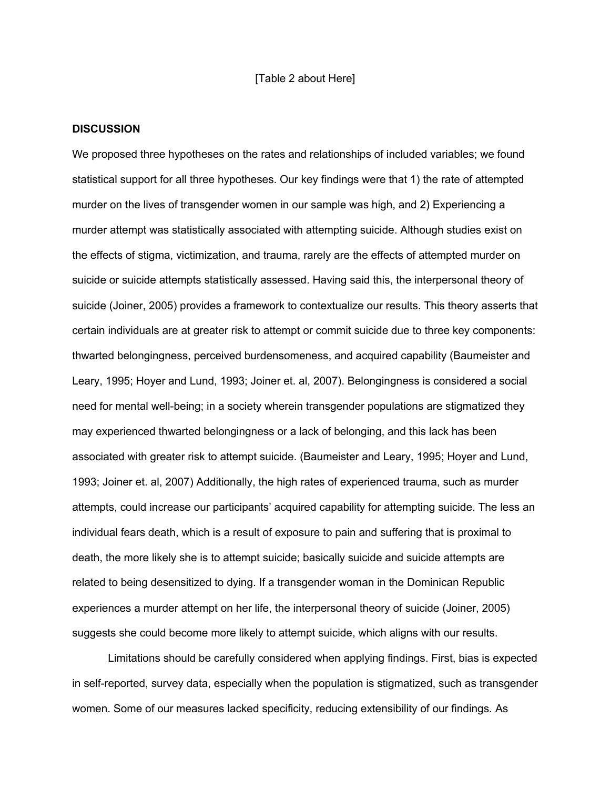#### [Table 2 about Here]

#### **DISCUSSION**

We proposed three hypotheses on the rates and relationships of included variables; we found statistical support for all three hypotheses. Our key findings were that 1) the rate of attempted murder on the lives of transgender women in our sample was high, and 2) Experiencing a murder attempt was statistically associated with attempting suicide. Although studies exist on the effects of stigma, victimization, and trauma, rarely are the effects of attempted murder on suicide or suicide attempts statistically assessed. Having said this, the interpersonal theory of suicide (Joiner, 2005) provides a framework to contextualize our results. This theory asserts that certain individuals are at greater risk to attempt or commit suicide due to three key components: thwarted belongingness, perceived burdensomeness, and acquired capability (Baumeister and Leary, 1995; Hoyer and Lund, 1993; Joiner et. al, 2007). Belongingness is considered a social need for mental well-being; in a society wherein transgender populations are stigmatized they may experienced thwarted belongingness or a lack of belonging, and this lack has been associated with greater risk to attempt suicide. (Baumeister and Leary, 1995; Hoyer and Lund, 1993; Joiner et. al, 2007) Additionally, the high rates of experienced trauma, such as murder attempts, could increase our participants' acquired capability for attempting suicide. The less an individual fears death, which is a result of exposure to pain and suffering that is proximal to death, the more likely she is to attempt suicide; basically suicide and suicide attempts are related to being desensitized to dying. If a transgender woman in the Dominican Republic experiences a murder attempt on her life, the interpersonal theory of suicide (Joiner, 2005) suggests she could become more likely to attempt suicide, which aligns with our results.

Limitations should be carefully considered when applying findings. First, bias is expected in self-reported, survey data, especially when the population is stigmatized, such as transgender women. Some of our measures lacked specificity, reducing extensibility of our findings. As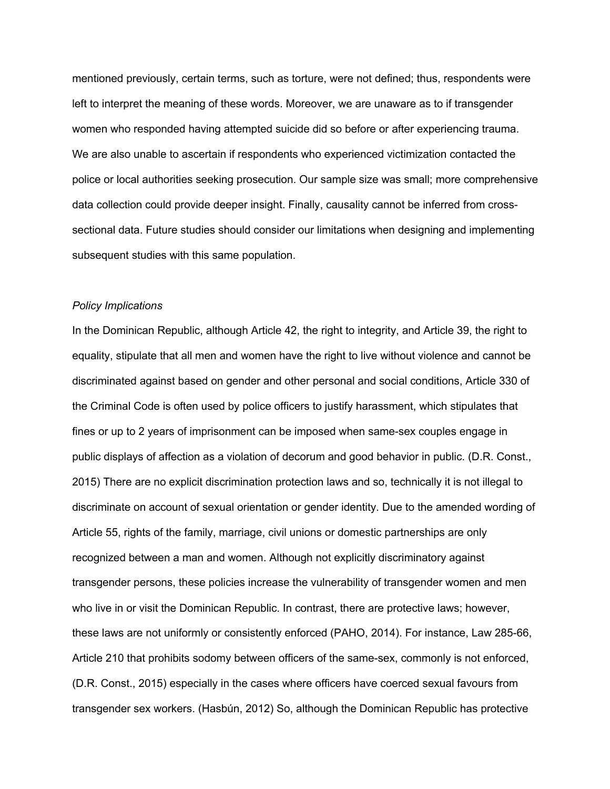mentioned previously, certain terms, such as torture, were not defined; thus, respondents were left to interpret the meaning of these words. Moreover, we are unaware as to if transgender women who responded having attempted suicide did so before or after experiencing trauma. We are also unable to ascertain if respondents who experienced victimization contacted the police or local authorities seeking prosecution. Our sample size was small; more comprehensive data collection could provide deeper insight. Finally, causality cannot be inferred from crosssectional data. Future studies should consider our limitations when designing and implementing subsequent studies with this same population.

#### *Policy Implications*

In the Dominican Republic, although Article 42, the right to integrity, and Article 39, the right to equality, stipulate that all men and women have the right to live without violence and cannot be discriminated against based on gender and other personal and social conditions, Article 330 of the Criminal Code is often used by police officers to justify harassment, which stipulates that fines or up to 2 years of imprisonment can be imposed when same-sex couples engage in public displays of affection as a violation of decorum and good behavior in public. (D.R. Const., 2015) There are no explicit discrimination protection laws and so, technically it is not illegal to discriminate on account of sexual orientation or gender identity. Due to the amended wording of Article 55, rights of the family, marriage, civil unions or domestic partnerships are only recognized between a man and women. Although not explicitly discriminatory against transgender persons, these policies increase the vulnerability of transgender women and men who live in or visit the Dominican Republic. In contrast, there are protective laws; however, these laws are not uniformly or consistently enforced (PAHO, 2014). For instance, Law 285-66, Article 210 that prohibits sodomy between officers of the same-sex, commonly is not enforced, (D.R. Const., 2015) especially in the cases where officers have coerced sexual favours from transgender sex workers. (Hasbún, 2012) So, although the Dominican Republic has protective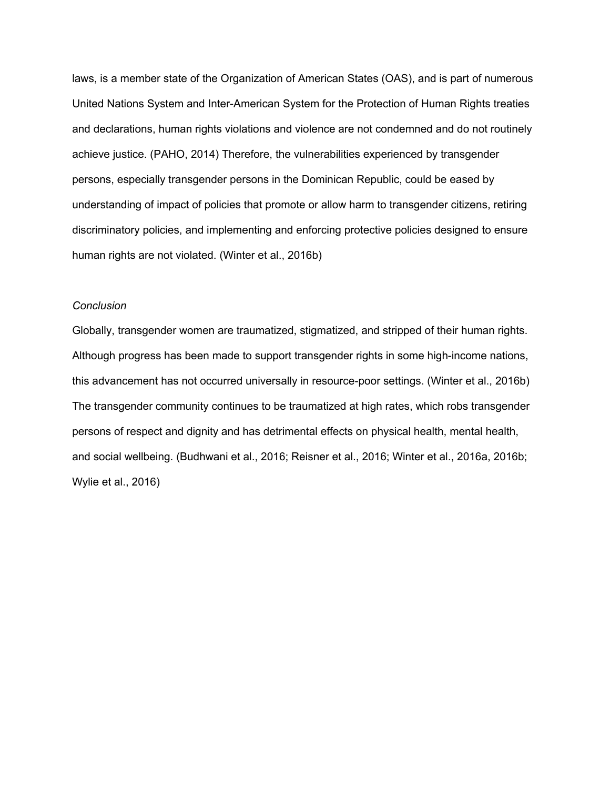laws, is a member state of the Organization of American States (OAS), and is part of numerous United Nations System and Inter-American System for the Protection of Human Rights treaties and declarations, human rights violations and violence are not condemned and do not routinely achieve justice. (PAHO, 2014) Therefore, the vulnerabilities experienced by transgender persons, especially transgender persons in the Dominican Republic, could be eased by understanding of impact of policies that promote or allow harm to transgender citizens, retiring discriminatory policies, and implementing and enforcing protective policies designed to ensure human rights are not violated. (Winter et al., 2016b)

#### *Conclusion*

Globally, transgender women are traumatized, stigmatized, and stripped of their human rights. Although progress has been made to support transgender rights in some high-income nations, this advancement has not occurred universally in resource-poor settings. (Winter et al., 2016b) The transgender community continues to be traumatized at high rates, which robs transgender persons of respect and dignity and has detrimental effects on physical health, mental health, and social wellbeing. (Budhwani et al., 2016; Reisner et al., 2016; Winter et al., 2016a, 2016b; Wylie et al., 2016)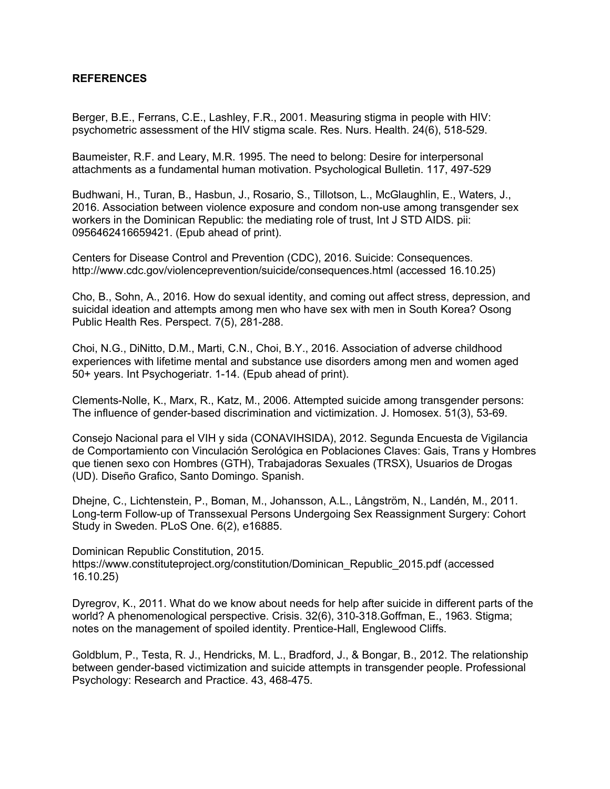### **REFERENCES**

Berger, B.E., Ferrans, C.E., Lashley, F.R., 2001. Measuring stigma in people with HIV: psychometric assessment of the HIV stigma scale. Res. Nurs. Health. 24(6), 518-529.

Baumeister, R.F. and Leary, M.R. 1995. The need to belong: Desire for interpersonal attachments as a fundamental human motivation. Psychological Bulletin. 117, 497-529

Budhwani, H., Turan, B., Hasbun, J., Rosario, S., Tillotson, L., McGlaughlin, E., Waters, J., 2016. Association between violence exposure and condom non-use among transgender sex workers in the Dominican Republic: the mediating role of trust, Int J STD AIDS. pii: 0956462416659421. (Epub ahead of print).

Centers for Disease Control and Prevention (CDC), 2016. Suicide: Consequences. http://www.cdc.gov/violenceprevention/suicide/consequences.html (accessed 16.10.25)

Cho, B., Sohn, A., 2016. How do sexual identity, and coming out affect stress, depression, and suicidal ideation and attempts among men who have sex with men in South Korea? Osong Public Health Res. Perspect. 7(5), 281-288.

Choi, N.G., DiNitto, D.M., Marti, C.N., Choi, B.Y., 2016. Association of adverse childhood experiences with lifetime mental and substance use disorders among men and women aged 50+ years. Int Psychogeriatr. 1-14. (Epub ahead of print).

Clements-Nolle, K., Marx, R., Katz, M., 2006. Attempted suicide among transgender persons: The influence of gender-based discrimination and victimization. J. Homosex. 51(3), 53-69.

Consejo Nacional para el VIH y sida (CONAVIHSIDA), 2012. Segunda Encuesta de Vigilancia de Comportamiento con Vinculación Serológica en Poblaciones Claves: Gais, Trans y Hombres que tienen sexo con Hombres (GTH), Trabajadoras Sexuales (TRSX), Usuarios de Drogas (UD). Diseño Grafico, Santo Domingo. Spanish.

Dhejne, C., Lichtenstein, P., Boman, M., Johansson, A.L., Långström, N., Landén, M., 2011. Long-term Follow-up of Transsexual Persons Undergoing Sex Reassignment Surgery: Cohort Study in Sweden. PLoS One. 6(2), e16885.

Dominican Republic Constitution, 2015. https://www.constituteproject.org/constitution/Dominican\_Republic\_2015.pdf (accessed 16.10.25)

Dyregrov, K., 2011. What do we know about needs for help after suicide in different parts of the world? A phenomenological perspective. Crisis. 32(6), 310-318.Goffman, E., 1963. Stigma; notes on the management of spoiled identity. Prentice-Hall, Englewood Cliffs.

Goldblum, P., Testa, R. J., Hendricks, M. L., Bradford, J., & Bongar, B., 2012. The relationship between gender-based victimization and suicide attempts in transgender people. Professional Psychology: Research and Practice. 43, 468-475.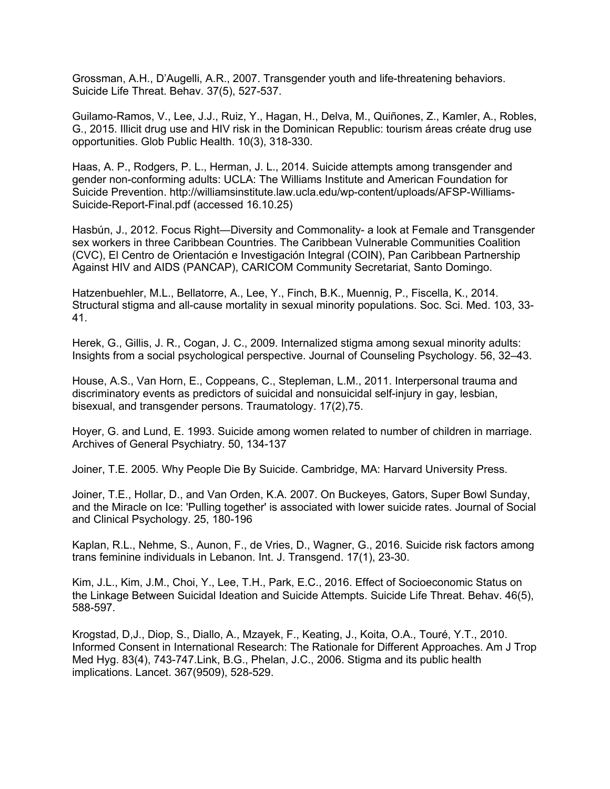Grossman, A.H., D'Augelli, A.R., 2007. Transgender youth and life-threatening behaviors. Suicide Life Threat. Behav. 37(5), 527-537.

Guilamo-Ramos, V., Lee, J.J., Ruiz, Y., Hagan, H., Delva, M., Quiñones, Z., Kamler, A., Robles, G., 2015. Illicit drug use and HIV risk in the Dominican Republic: tourism áreas créate drug use opportunities. Glob Public Health. 10(3), 318-330.

Haas, A. P., Rodgers, P. L., Herman, J. L., 2014. Suicide attempts among transgender and gender non-conforming adults: UCLA: The Williams Institute and American Foundation for Suicide Prevention. http://williamsinstitute.law.ucla.edu/wp-content/uploads/AFSP-Williams-Suicide-Report-Final.pdf (accessed 16.10.25)

Hasbún, J., 2012. Focus Right—Diversity and Commonality- a look at Female and Transgender sex workers in three Caribbean Countries. The Caribbean Vulnerable Communities Coalition (CVC), El Centro de Orientación e Investigación Integral (COIN), Pan Caribbean Partnership Against HIV and AIDS (PANCAP), CARICOM Community Secretariat, Santo Domingo.

Hatzenbuehler, M.L., Bellatorre, A., Lee, Y., Finch, B.K., Muennig, P., Fiscella, K., 2014. Structural stigma and all-cause mortality in sexual minority populations. Soc. Sci. Med. 103, 33- 41.

Herek, G., Gillis, J. R., Cogan, J. C., 2009. Internalized stigma among sexual minority adults: Insights from a social psychological perspective. Journal of Counseling Psychology. 56, 32–43.

House, A.S., Van Horn, E., Coppeans, C., Stepleman, L.M., 2011. Interpersonal trauma and discriminatory events as predictors of suicidal and nonsuicidal self-injury in gay, lesbian, bisexual, and transgender persons. Traumatology. 17(2),75.

Hoyer, G. and Lund, E. 1993. Suicide among women related to number of children in marriage. Archives of General Psychiatry. 50, 134-137

Joiner, T.E. 2005. Why People Die By Suicide. Cambridge, MA: Harvard University Press.

Joiner, T.E., Hollar, D., and Van Orden, K.A. 2007. On Buckeyes, Gators, Super Bowl Sunday, and the Miracle on Ice: 'Pulling together' is associated with lower suicide rates. Journal of Social and Clinical Psychology. 25, 180-196

Kaplan, R.L., Nehme, S., Aunon, F., de Vries, D., Wagner, G., 2016. Suicide risk factors among trans feminine individuals in Lebanon. Int. J. Transgend. 17(1), 23-30.

Kim, J.L., Kim, J.M., Choi, Y., Lee, T.H., Park, E.C., 2016. Effect of Socioeconomic Status on the Linkage Between Suicidal Ideation and Suicide Attempts. Suicide Life Threat. Behav. 46(5), 588-597.

Krogstad, D,J., Diop, S., Diallo, A., Mzayek, F., Keating, J., Koita, O.A., Touré, Y.T., 2010. Informed Consent in International Research: The Rationale for Different Approaches. Am J Trop Med Hyg. 83(4), 743-747.Link, B.G., Phelan, J.C., 2006. Stigma and its public health implications. Lancet. 367(9509), 528-529.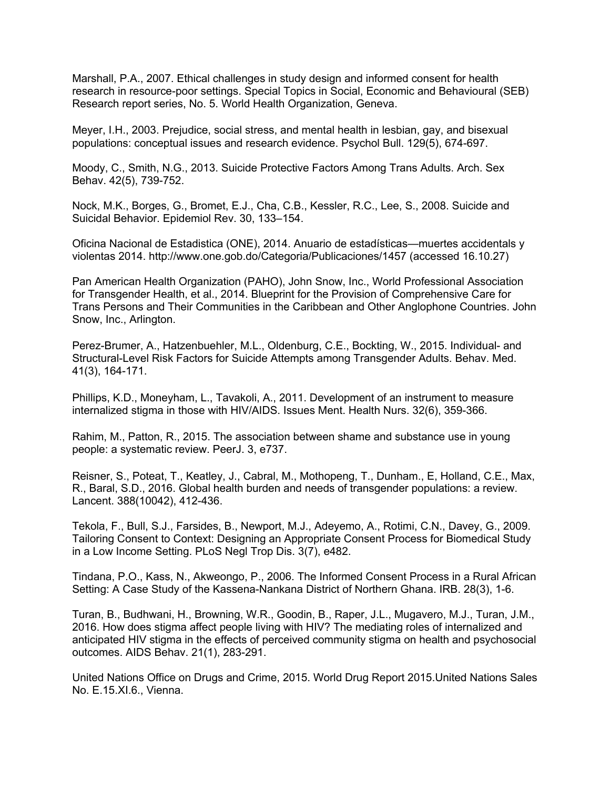Marshall, P.A., 2007. Ethical challenges in study design and informed consent for health research in resource-poor settings. Special Topics in Social, Economic and Behavioural (SEB) Research report series, No. 5. World Health Organization, Geneva.

Meyer, I.H., 2003. Prejudice, social stress, and mental health in lesbian, gay, and bisexual populations: conceptual issues and research evidence. Psychol Bull. 129(5), 674-697.

Moody, C., Smith, N.G., 2013. Suicide Protective Factors Among Trans Adults. Arch. Sex Behav. 42(5), 739-752.

Nock, M.K., Borges, G., Bromet, E.J., Cha, C.B., Kessler, R.C., Lee, S., 2008. Suicide and Suicidal Behavior. Epidemiol Rev. 30, 133–154.

Oficina Nacional de Estadistica (ONE), 2014. Anuario de estadísticas—muertes accidentals y violentas 2014. http://www.one.gob.do/Categoria/Publicaciones/1457 (accessed 16.10.27)

Pan American Health Organization (PAHO), John Snow, Inc., World Professional Association for Transgender Health, et al., 2014. Blueprint for the Provision of Comprehensive Care for Trans Persons and Their Communities in the Caribbean and Other Anglophone Countries. John Snow, Inc., Arlington.

Perez-Brumer, A., Hatzenbuehler, M.L., Oldenburg, C.E., Bockting, W., 2015. Individual- and Structural-Level Risk Factors for Suicide Attempts among Transgender Adults. Behav. Med. 41(3), 164-171.

Phillips, K.D., Moneyham, L., Tavakoli, A., 2011. Development of an instrument to measure internalized stigma in those with HIV/AIDS. Issues Ment. Health Nurs. 32(6), 359-366.

Rahim, M., Patton, R., 2015. The association between shame and substance use in young people: a systematic review. PeerJ. 3, e737.

Reisner, S., Poteat, T., Keatley, J., Cabral, M., Mothopeng, T., Dunham., E, Holland, C.E., Max, R., Baral, S.D., 2016. Global health burden and needs of transgender populations: a review. Lancent. 388(10042), 412-436.

Tekola, F., Bull, S.J., Farsides, B., Newport, M.J., Adeyemo, A., Rotimi, C.N., Davey, G., 2009. Tailoring Consent to Context: Designing an Appropriate Consent Process for Biomedical Study in a Low Income Setting. PLoS Negl Trop Dis. 3(7), e482.

Tindana, P.O., Kass, N., Akweongo, P., 2006. The Informed Consent Process in a Rural African Setting: A Case Study of the Kassena-Nankana District of Northern Ghana. IRB. 28(3), 1-6.

Turan, B., Budhwani, H., Browning, W.R., Goodin, B., Raper, J.L., Mugavero, M.J., Turan, J.M., 2016. How does stigma affect people living with HIV? The mediating roles of internalized and anticipated HIV stigma in the effects of perceived community stigma on health and psychosocial outcomes. AIDS Behav. 21(1), 283-291.

United Nations Office on Drugs and Crime, 2015. World Drug Report 2015.United Nations Sales No. E.15.XI.6., Vienna.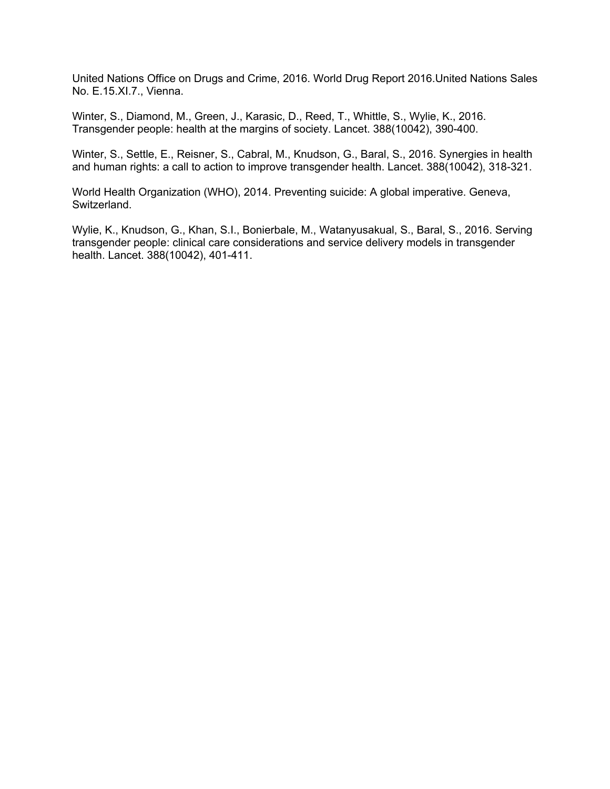United Nations Office on Drugs and Crime, 2016. World Drug Report 2016.United Nations Sales No. E.15.XI.7., Vienna.

Winter, S., Diamond, M., Green, J., Karasic, D., Reed, T., Whittle, S., Wylie, K., 2016. Transgender people: health at the margins of society. Lancet. 388(10042), 390-400.

Winter, S., Settle, E., Reisner, S., Cabral, M., Knudson, G., Baral, S., 2016. Synergies in health and human rights: a call to action to improve transgender health. Lancet. 388(10042), 318-321.

World Health Organization (WHO), 2014. Preventing suicide: A global imperative. Geneva, Switzerland.

Wylie, K., Knudson, G., Khan, S.I., Bonierbale, M., Watanyusakual, S., Baral, S., 2016. Serving transgender people: clinical care considerations and service delivery models in transgender health. Lancet. 388(10042), 401-411.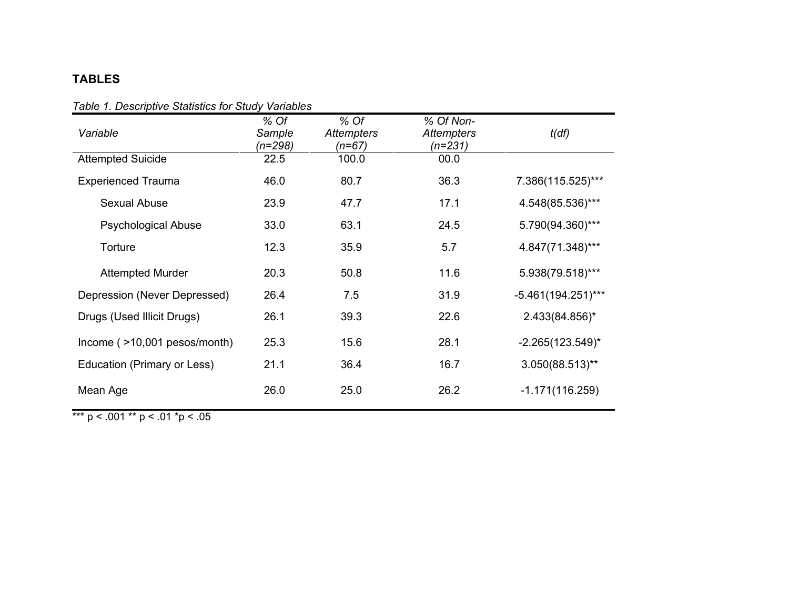# **TABLES**

| rabic <i>r. D</i> escriptive Glatistics for Glady variables |                           |                                         |                                           |                       |  |
|-------------------------------------------------------------|---------------------------|-----------------------------------------|-------------------------------------------|-----------------------|--|
| Variable                                                    | % Of<br>Sample<br>(n=298) | $%$ Of<br><b>Attempters</b><br>$(n=67)$ | % Of Non-<br><b>Attempters</b><br>(n=231) | t(df)                 |  |
| <b>Attempted Suicide</b>                                    | 22.5                      | 100.0                                   | 00.0                                      |                       |  |
| <b>Experienced Trauma</b>                                   | 46.0                      | 80.7                                    | 36.3                                      | 7.386(115.525)***     |  |
| Sexual Abuse                                                | 23.9                      | 47.7                                    | 17.1                                      | 4.548(85.536)***      |  |
| <b>Psychological Abuse</b>                                  | 33.0                      | 63.1                                    | 24.5                                      | 5.790(94.360)***      |  |
| Torture                                                     | 12.3                      | 35.9                                    | 5.7                                       | 4.847(71.348)***      |  |
| <b>Attempted Murder</b>                                     | 20.3                      | 50.8                                    | 11.6                                      | 5.938(79.518)***      |  |
| Depression (Never Depressed)                                | 26.4                      | 7.5                                     | 31.9                                      | $-5.461(194.251)***$  |  |
| Drugs (Used Illicit Drugs)                                  | 26.1                      | 39.3                                    | 22.6                                      | 2.433(84.856)*        |  |
| Income (>10,001 pesos/month)                                | 25.3                      | 15.6                                    | 28.1                                      | $-2.265(123.549)^{*}$ |  |
| Education (Primary or Less)                                 | 21.1                      | 36.4                                    | 16.7                                      | $3.050(88.513)$ **    |  |
| Mean Age                                                    | 26.0                      | 25.0                                    | 26.2                                      | $-1.171(116.259)$     |  |

# *Table 1. Descriptive Statistics for Study Variables*

\*\*\* p < .001 \*\* p < .01 \*p < .05